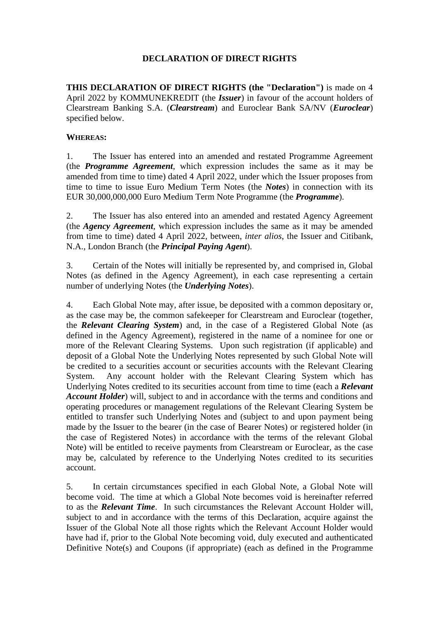## **DECLARATION OF DIRECT RIGHTS**

**THIS DECLARATION OF DIRECT RIGHTS (the "Declaration")** is made on 4 April 2022 by KOMMUNEKREDIT (the *Issuer*) in favour of the account holders of Clearstream Banking S.A. (*Clearstream*) and Euroclear Bank SA/NV (*Euroclear*) specified below.

## **WHEREAS:**

1. The Issuer has entered into an amended and restated Programme Agreement (the *Programme Agreement*, which expression includes the same as it may be amended from time to time) dated 4 April 2022, under which the Issuer proposes from time to time to issue Euro Medium Term Notes (the *Notes*) in connection with its EUR 30,000,000,000 Euro Medium Term Note Programme (the *Programme*).

2. The Issuer has also entered into an amended and restated Agency Agreement (the *Agency Agreement*, which expression includes the same as it may be amended from time to time) dated 4 April 2022, between, *inter alios*, the Issuer and Citibank, N.A., London Branch (the *Principal Paying Agent*).

3. Certain of the Notes will initially be represented by, and comprised in, Global Notes (as defined in the Agency Agreement), in each case representing a certain number of underlying Notes (the *Underlying Notes*).

4. Each Global Note may, after issue, be deposited with a common depositary or, as the case may be, the common safekeeper for Clearstream and Euroclear (together, the *Relevant Clearing System*) and, in the case of a Registered Global Note (as defined in the Agency Agreement), registered in the name of a nominee for one or more of the Relevant Clearing Systems. Upon such registration (if applicable) and deposit of a Global Note the Underlying Notes represented by such Global Note will be credited to a securities account or securities accounts with the Relevant Clearing System. Any account holder with the Relevant Clearing System which has Underlying Notes credited to its securities account from time to time (each a *Relevant Account Holder*) will, subject to and in accordance with the terms and conditions and operating procedures or management regulations of the Relevant Clearing System be entitled to transfer such Underlying Notes and (subject to and upon payment being made by the Issuer to the bearer (in the case of Bearer Notes) or registered holder (in the case of Registered Notes) in accordance with the terms of the relevant Global Note) will be entitled to receive payments from Clearstream or Euroclear, as the case may be, calculated by reference to the Underlying Notes credited to its securities account.

5. In certain circumstances specified in each Global Note, a Global Note will become void. The time at which a Global Note becomes void is hereinafter referred to as the *Relevant Time*. In such circumstances the Relevant Account Holder will, subject to and in accordance with the terms of this Declaration, acquire against the Issuer of the Global Note all those rights which the Relevant Account Holder would have had if, prior to the Global Note becoming void, duly executed and authenticated Definitive Note(s) and Coupons (if appropriate) (each as defined in the Programme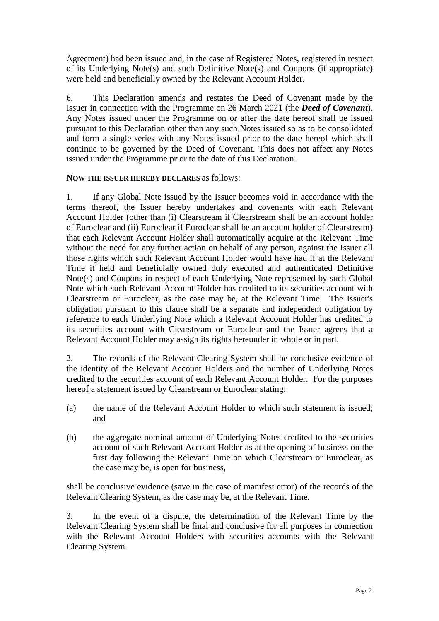Agreement) had been issued and, in the case of Registered Notes, registered in respect of its Underlying Note(s) and such Definitive Note(s) and Coupons (if appropriate) were held and beneficially owned by the Relevant Account Holder.

6. This Declaration amends and restates the Deed of Covenant made by the Issuer in connection with the Programme on 26 March 2021 (the *Deed of Covenant*). Any Notes issued under the Programme on or after the date hereof shall be issued pursuant to this Declaration other than any such Notes issued so as to be consolidated and form a single series with any Notes issued prior to the date hereof which shall continue to be governed by the Deed of Covenant. This does not affect any Notes issued under the Programme prior to the date of this Declaration.

## **NOW THE ISSUER HEREBY DECLARES** as follows:

1. If any Global Note issued by the Issuer becomes void in accordance with the terms thereof, the Issuer hereby undertakes and covenants with each Relevant Account Holder (other than (i) Clearstream if Clearstream shall be an account holder of Euroclear and (ii) Euroclear if Euroclear shall be an account holder of Clearstream) that each Relevant Account Holder shall automatically acquire at the Relevant Time without the need for any further action on behalf of any person, against the Issuer all those rights which such Relevant Account Holder would have had if at the Relevant Time it held and beneficially owned duly executed and authenticated Definitive Note(s) and Coupons in respect of each Underlying Note represented by such Global Note which such Relevant Account Holder has credited to its securities account with Clearstream or Euroclear, as the case may be, at the Relevant Time. The Issuer's obligation pursuant to this clause shall be a separate and independent obligation by reference to each Underlying Note which a Relevant Account Holder has credited to its securities account with Clearstream or Euroclear and the Issuer agrees that a Relevant Account Holder may assign its rights hereunder in whole or in part.

2. The records of the Relevant Clearing System shall be conclusive evidence of the identity of the Relevant Account Holders and the number of Underlying Notes credited to the securities account of each Relevant Account Holder. For the purposes hereof a statement issued by Clearstream or Euroclear stating:

- (a) the name of the Relevant Account Holder to which such statement is issued; and
- (b) the aggregate nominal amount of Underlying Notes credited to the securities account of such Relevant Account Holder as at the opening of business on the first day following the Relevant Time on which Clearstream or Euroclear, as the case may be, is open for business,

shall be conclusive evidence (save in the case of manifest error) of the records of the Relevant Clearing System, as the case may be, at the Relevant Time.

3. In the event of a dispute, the determination of the Relevant Time by the Relevant Clearing System shall be final and conclusive for all purposes in connection with the Relevant Account Holders with securities accounts with the Relevant Clearing System.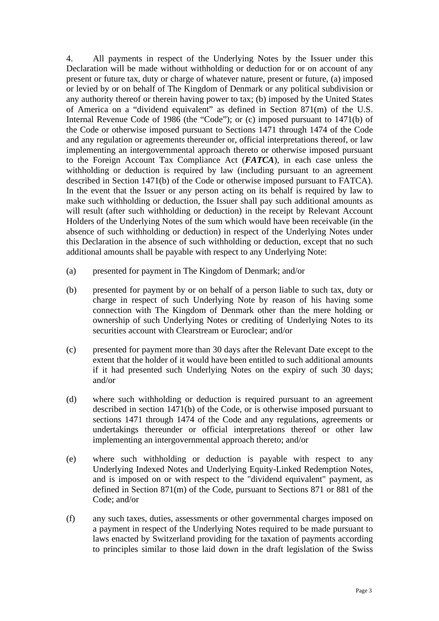4. All payments in respect of the Underlying Notes by the Issuer under this Declaration will be made without withholding or deduction for or on account of any present or future tax, duty or charge of whatever nature, present or future, (a) imposed or levied by or on behalf of The Kingdom of Denmark or any political subdivision or any authority thereof or therein having power to tax; (b) imposed by the United States of America on a "dividend equivalent" as defined in Section 871(m) of the U.S. Internal Revenue Code of 1986 (the "Code"); or (c) imposed pursuant to 1471(b) of the Code or otherwise imposed pursuant to Sections 1471 through 1474 of the Code and any regulation or agreements thereunder or, official interpretations thereof, or law implementing an intergovernmental approach thereto or otherwise imposed pursuant to the Foreign Account Tax Compliance Act (*FATCA*), in each case unless the withholding or deduction is required by law (including pursuant to an agreement described in Section 1471(b) of the Code or otherwise imposed pursuant to FATCA). In the event that the Issuer or any person acting on its behalf is required by law to make such withholding or deduction, the Issuer shall pay such additional amounts as will result (after such withholding or deduction) in the receipt by Relevant Account Holders of the Underlying Notes of the sum which would have been receivable (in the absence of such withholding or deduction) in respect of the Underlying Notes under this Declaration in the absence of such withholding or deduction, except that no such additional amounts shall be payable with respect to any Underlying Note:

- (a) presented for payment in The Kingdom of Denmark; and/or
- (b) presented for payment by or on behalf of a person liable to such tax, duty or charge in respect of such Underlying Note by reason of his having some connection with The Kingdom of Denmark other than the mere holding or ownership of such Underlying Notes or crediting of Underlying Notes to its securities account with Clearstream or Euroclear; and/or
- (c) presented for payment more than 30 days after the Relevant Date except to the extent that the holder of it would have been entitled to such additional amounts if it had presented such Underlying Notes on the expiry of such 30 days; and/or
- (d) where such withholding or deduction is required pursuant to an agreement described in section 1471(b) of the Code, or is otherwise imposed pursuant to sections 1471 through 1474 of the Code and any regulations, agreements or undertakings thereunder or official interpretations thereof or other law implementing an intergovernmental approach thereto; and/or
- (e) where such withholding or deduction is payable with respect to any Underlying Indexed Notes and Underlying Equity-Linked Redemption Notes, and is imposed on or with respect to the "dividend equivalent" payment, as defined in Section 871(m) of the Code, pursuant to Sections 871 or 881 of the Code; and/or
- (f) any such taxes, duties, assessments or other governmental charges imposed on a payment in respect of the Underlying Notes required to be made pursuant to laws enacted by Switzerland providing for the taxation of payments according to principles similar to those laid down in the draft legislation of the Swiss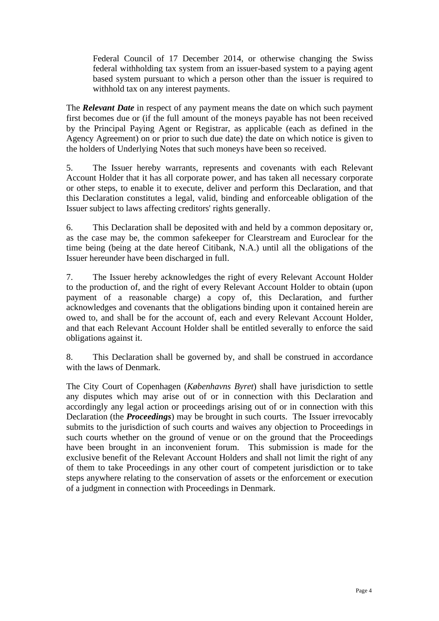Federal Council of 17 December 2014, or otherwise changing the Swiss federal withholding tax system from an issuer-based system to a paying agent based system pursuant to which a person other than the issuer is required to withhold tax on any interest payments.

The *Relevant Date* in respect of any payment means the date on which such payment first becomes due or (if the full amount of the moneys payable has not been received by the Principal Paying Agent or Registrar, as applicable (each as defined in the Agency Agreement) on or prior to such due date) the date on which notice is given to the holders of Underlying Notes that such moneys have been so received.

5. The Issuer hereby warrants, represents and covenants with each Relevant Account Holder that it has all corporate power, and has taken all necessary corporate or other steps, to enable it to execute, deliver and perform this Declaration, and that this Declaration constitutes a legal, valid, binding and enforceable obligation of the Issuer subject to laws affecting creditors' rights generally.

6. This Declaration shall be deposited with and held by a common depositary or, as the case may be, the common safekeeper for Clearstream and Euroclear for the time being (being at the date hereof Citibank, N.A.) until all the obligations of the Issuer hereunder have been discharged in full.

7. The Issuer hereby acknowledges the right of every Relevant Account Holder to the production of, and the right of every Relevant Account Holder to obtain (upon payment of a reasonable charge) a copy of, this Declaration, and further acknowledges and covenants that the obligations binding upon it contained herein are owed to, and shall be for the account of, each and every Relevant Account Holder, and that each Relevant Account Holder shall be entitled severally to enforce the said obligations against it.

8. This Declaration shall be governed by, and shall be construed in accordance with the laws of Denmark.

The City Court of Copenhagen (*Københavns Byret*) shall have jurisdiction to settle any disputes which may arise out of or in connection with this Declaration and accordingly any legal action or proceedings arising out of or in connection with this Declaration (the *Proceedings*) may be brought in such courts. The Issuer irrevocably submits to the jurisdiction of such courts and waives any objection to Proceedings in such courts whether on the ground of venue or on the ground that the Proceedings have been brought in an inconvenient forum. This submission is made for the exclusive benefit of the Relevant Account Holders and shall not limit the right of any of them to take Proceedings in any other court of competent jurisdiction or to take steps anywhere relating to the conservation of assets or the enforcement or execution of a judgment in connection with Proceedings in Denmark.